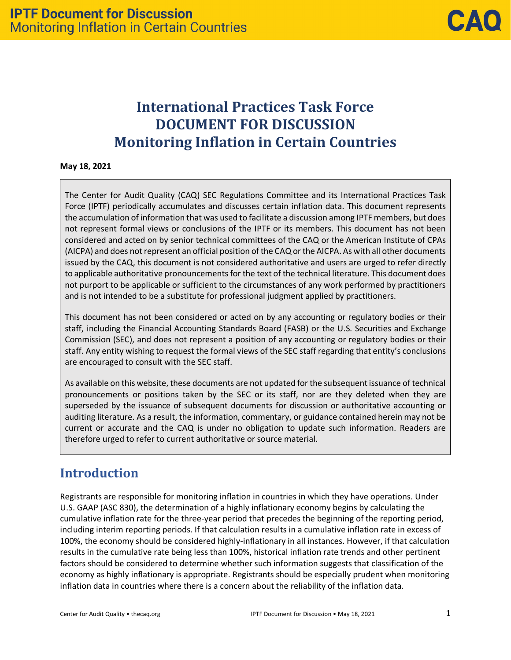# **International Practices Task Force DOCUMENT FOR DISCUSSION Monitoring Inflation in Certain Countries**

**May 18, 2021**

The Center for Audit Quality (CAQ) SEC Regulations Committee and its International Practices Task Force (IPTF) periodically accumulates and discusses certain inflation data. This document represents the accumulation of information that was used to facilitate a discussion among IPTF members, but does not represent formal views or conclusions of the IPTF or its members. This document has not been considered and acted on by senior technical committees of the CAQ or the American Institute of CPAs (AICPA) and does not represent an official position of the CAQ or the AICPA. As with all other documents issued by the CAQ, this document is not considered authoritative and users are urged to refer directly to applicable authoritative pronouncements for the text of the technical literature. This document does not purport to be applicable or sufficient to the circumstances of any work performed by practitioners and is not intended to be a substitute for professional judgment applied by practitioners.

This document has not been considered or acted on by any accounting or regulatory bodies or their staff, including the Financial Accounting Standards Board (FASB) or the U.S. Securities and Exchange Commission (SEC), and does not represent a position of any accounting or regulatory bodies or their staff. Any entity wishing to request the formal views of the SEC staff regarding that entity's conclusions are encouraged to consult with the SEC staff.

As available on this website, these documents are not updated for the subsequentissuance of technical pronouncements or positions taken by the SEC or its staff, nor are they deleted when they are superseded by the issuance of subsequent documents for discussion or authoritative accounting or auditing literature. As a result, the information, commentary, or guidance contained herein may not be current or accurate and the CAQ is under no obligation to update such information. Readers are therefore urged to refer to current authoritative or source material.

## **Introduction**

Registrants are responsible for monitoring inflation in countries in which they have operations. Under U.S. GAAP (ASC 830), the determination of a highly inflationary economy begins by calculating the cumulative inflation rate for the three-year period that precedes the beginning of the reporting period, including interim reporting periods. If that calculation results in a cumulative inflation rate in excess of 100%, the economy should be considered highly-inflationary in all instances. However, if that calculation results in the cumulative rate being less than 100%, historical inflation rate trends and other pertinent factors should be considered to determine whether such information suggests that classification of the economy as highly inflationary is appropriate. Registrants should be especially prudent when monitoring inflation data in countries where there is a concern about the reliability of the inflation data.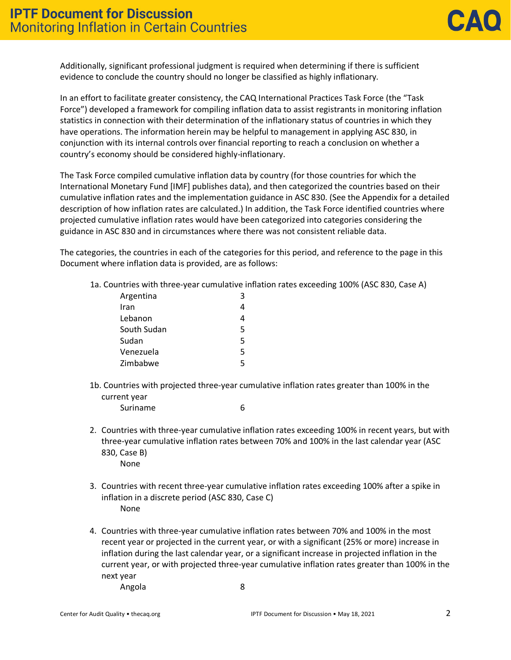Additionally, significant professional judgment is required when determining if there is sufficient evidence to conclude the country should no longer be classified as highly inflationary.

In an effort to facilitate greater consistency, the CAQ International Practices Task Force (the "Task Force") developed a framework for compiling inflation data to assist registrants in monitoring inflation statistics in connection with their determination of the inflationary status of countries in which they have operations. The information herein may be helpful to management in applying ASC 830, in conjunction with its internal controls over financial reporting to reach a conclusion on whether a country's economy should be considered highly-inflationary.

The Task Force compiled cumulative inflation data by country (for those countries for which the International Monetary Fund [IMF] publishes data), and then categorized the countries based on their cumulative inflation rates and the implementation guidance in ASC 830. (See the Appendix for a detailed description of how inflation rates are calculated.) In addition, the Task Force identified countries where projected cumulative inflation rates would have been categorized into categories considering the guidance in ASC 830 and in circumstances where there was not consistent reliable data.

The categories, the countries in each of the categories for this period, and reference to the page in this Document where inflation data is provided, are as follows:

1a. Countries with three-year cumulative inflation rates exceeding 100% (ASC 830, Case A)

| Argentina   | 3 |
|-------------|---|
| Iran        | 4 |
| Lebanon     | 4 |
| South Sudan | 5 |
| Sudan       | 5 |
| Venezuela   | 5 |
| Zimbabwe    | ς |
|             |   |

- 1b. Countries with projected three-year cumulative inflation rates greater than 100% in the current year Suriname 6
- 2. Countries with three-year cumulative inflation rates exceeding 100% in recent years, but with three-year cumulative inflation rates between 70% and 100% in the last calendar year (ASC 830, Case B)
	- None
- 3. Countries with recent three-year cumulative inflation rates exceeding 100% after a spike in inflation in a discrete period (ASC 830, Case C) None
- 4. Countries with three-year cumulative inflation rates between 70% and 100% in the most recent year or projected in the current year, or with a significant (25% or more) increase in inflation during the last calendar year, or a significant increase in projected inflation in the current year, or with projected three-year cumulative inflation rates greater than 100% in the next year

Angola 8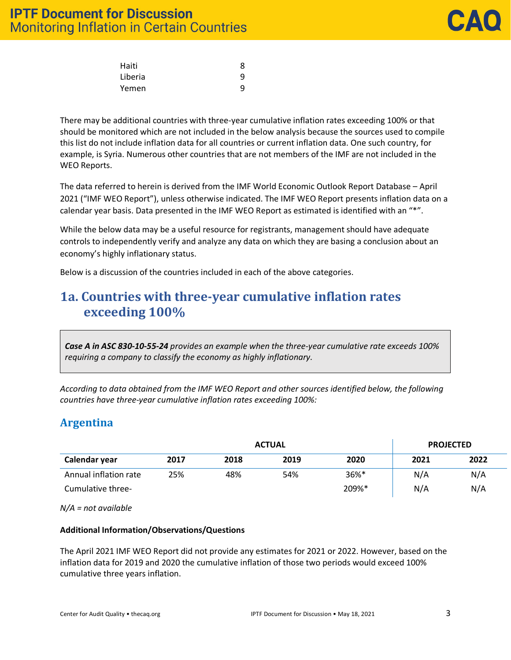| Haiti   | 8 |
|---------|---|
| Liberia | q |
| Yemen   | q |

There may be additional countries with three-year cumulative inflation rates exceeding 100% or that should be monitored which are not included in the below analysis because the sources used to compile this list do not include inflation data for all countries or current inflation data. One such country, for example, is Syria. Numerous other countries that are not members of the IMF are not included in the WEO Reports.

The data referred to herein is derived from the IMF World Economic Outlook Report Database – April 2021 ("IMF WEO Report"), unless otherwise indicated. The IMF WEO Report presents inflation data on a calendar year basis. Data presented in the IMF WEO Report as estimated is identified with an "\*".

While the below data may be a useful resource for registrants, management should have adequate controls to independently verify and analyze any data on which they are basing a conclusion about an economy's highly inflationary status.

Below is a discussion of the countries included in each of the above categories.

## **1a. Countries with three-year cumulative inflation rates exceeding 100%**

*Case A in ASC 830-10-55-24 provides an example when the three-year cumulative rate exceeds 100% requiring a company to classify the economy as highly inflationary.*

*According to data obtained from the IMF WEO Report and other sources identified below, the following countries have three-year cumulative inflation rates exceeding 100%:*

## **Argentina**

| <b>ACTUAL</b>         |      |      |      |         |      | <b>PROJECTED</b> |
|-----------------------|------|------|------|---------|------|------------------|
| Calendar year         | 2017 | 2018 | 2019 | 2020    | 2021 | 2022             |
| Annual inflation rate | 25%  | 48%  | 54%  | $36\%*$ | N/A  | N/A              |
| Cumulative three-     |      |      |      | 209%*   | N/A  | N/A              |

*N/A = not available*

#### **Additional Information/Observations/Questions**

The April 2021 IMF WEO Report did not provide any estimates for 2021 or 2022. However, based on the inflation data for 2019 and 2020 the cumulative inflation of those two periods would exceed 100% cumulative three years inflation.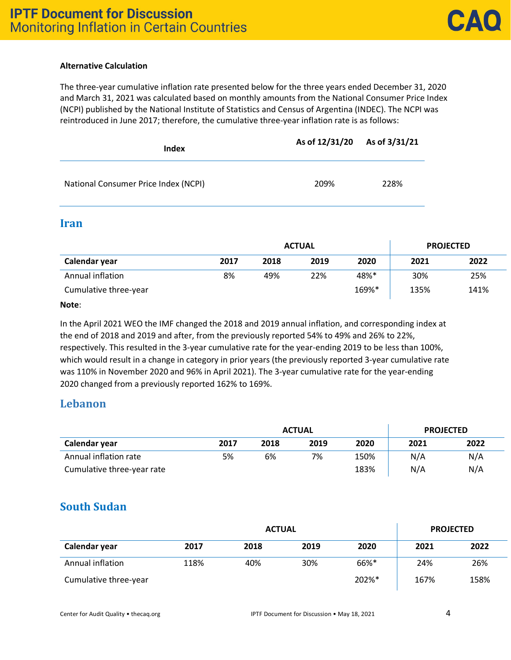#### **Alternative Calculation**

The three-year cumulative inflation rate presented below for the three years ended December 31, 2020 and March 31, 2021 was calculated based on monthly amounts from the National Consumer Price Index (NCPI) published by the National Institute of Statistics and Census of Argentina (INDEC). The NCPI was reintroduced in June 2017; therefore, the cumulative three-year inflation rate is as follows:

| Index                                | As of 12/31/20 As of 3/31/21 |      |
|--------------------------------------|------------------------------|------|
| National Consumer Price Index (NCPI) | 209%                         | 228% |

#### **Iran**

|                       | <b>ACTUAL</b> |      |      |       | <b>PROJECTED</b> |      |
|-----------------------|---------------|------|------|-------|------------------|------|
| Calendar year         | 2017          | 2018 | 2019 | 2020  | 2021             | 2022 |
| Annual inflation      | 8%            | 49%  | 22%  | 48%*  | 30%              | 25%  |
| Cumulative three-year |               |      |      | 169%* | 135%             | 141% |

#### **Note**:

In the April 2021 WEO the IMF changed the 2018 and 2019 annual inflation, and corresponding index at the end of 2018 and 2019 and after, from the previously reported 54% to 49% and 26% to 22%, respectively. This resulted in the 3-year cumulative rate for the year-ending 2019 to be less than 100%, which would result in a change in category in prior years (the previously reported 3-year cumulative rate was 110% in November 2020 and 96% in April 2021). The 3-year cumulative rate for the year-ending 2020 changed from a previously reported 162% to 169%.

#### **Lebanon**

|                            |      | <b>ACTUAL</b> | <b>PROJECTED</b> |      |      |      |
|----------------------------|------|---------------|------------------|------|------|------|
| Calendar year              | 2017 | 2018          | 2019             | 2020 | 2021 | 2022 |
| Annual inflation rate      | 5%   | 6%            | 7%               | 150% | N/A  | N/A  |
| Cumulative three-year rate |      |               |                  | 183% | N/A  | N/A  |

### **South Sudan**

|                       |      | <b>PROJECTED</b> |      |       |      |      |
|-----------------------|------|------------------|------|-------|------|------|
| Calendar year         | 2017 | 2018             | 2019 | 2020  | 2021 | 2022 |
| Annual inflation      | 118% | 40%              | 30%  | 66%*  | 24%  | 26%  |
| Cumulative three-year |      |                  |      | 202%* | 167% | 158% |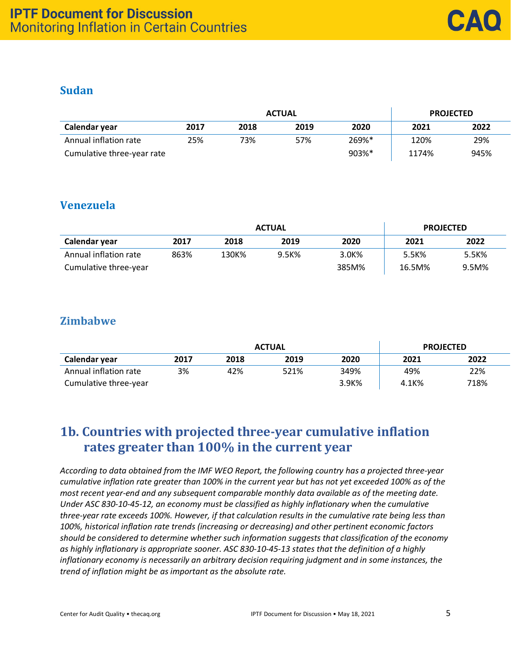## **Sudan**

|                            |      | <b>ACTUAL</b> |      | <b>PROJECTED</b> |       |      |
|----------------------------|------|---------------|------|------------------|-------|------|
| Calendar year              | 2017 | 2018          | 2019 | 2020             | 2021  | 2022 |
| Annual inflation rate      | 25%  | 73%           | 57%  | 269%*            | 120%  | 29%  |
| Cumulative three-year rate |      |               |      | 903%*            | 1174% | 945% |

## **Venezuela**

| <b>ACTUAL</b>         |      |       |       |       |        | <b>PROJECTED</b> |
|-----------------------|------|-------|-------|-------|--------|------------------|
| Calendar year         | 2017 | 2018  | 2019  | 2020  | 2021   | 2022             |
| Annual inflation rate | 863% | 130K% | 9.5K% | 3.0K% | 5.5K%  | 5.5K%            |
| Cumulative three-year |      |       |       | 385M% | 16.5M% | $9.5M\%$         |

## **Zimbabwe**

|                       |      | <b>PROJECTED</b> |      |       |       |      |
|-----------------------|------|------------------|------|-------|-------|------|
| Calendar year         | 2017 | 2018             | 2019 | 2020  | 2021  | 2022 |
| Annual inflation rate | 3%   | 42%              | 521% | 349%  | 49%   | 22%  |
| Cumulative three-year |      |                  |      | 3.9K% | 4.1K% | 718% |

## **1b. Countries with projected three-year cumulative inflation rates greater than 100% in the current year**

*According to data obtained from the IMF WEO Report, the following country has a projected three-year cumulative inflation rate greater than 100% in the current year but has not yet exceeded 100% as of the most recent year-end and any subsequent comparable monthly data available as of the meeting date. Under ASC 830-10-45-12, an economy must be classified as highly inflationary when the cumulative three-year rate exceeds 100%. However, if that calculation results in the cumulative rate being less than 100%, historical inflation rate trends (increasing or decreasing) and other pertinent economic factors should be considered to determine whether such information suggests that classification of the economy as highly inflationary is appropriate sooner. ASC 830-10-45-13 states that the definition of a highly inflationary economy is necessarily an arbitrary decision requiring judgment and in some instances, the trend of inflation might be as important as the absolute rate.*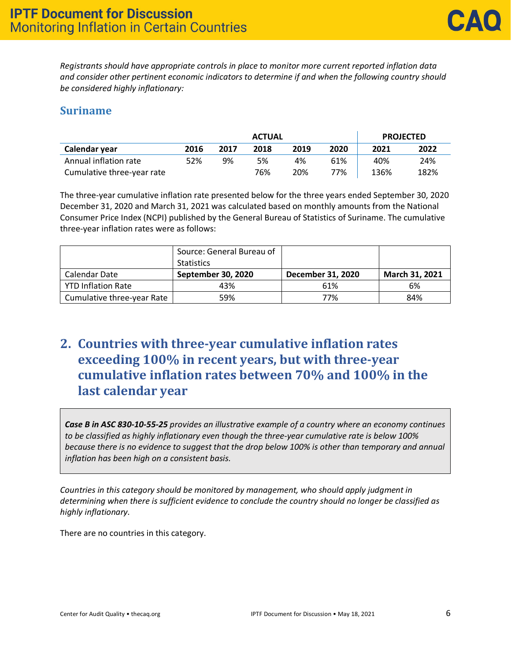*Registrants should have appropriate controls in place to monitor more current reported inflation data and consider other pertinent economic indicators to determine if and when the following country should be considered highly inflationary:*

#### **Suriname**

|                            | <b>ACTUAL</b> |      |      |      |      | <b>PROJECTED</b> |      |  |
|----------------------------|---------------|------|------|------|------|------------------|------|--|
| Calendar year              | 2016          | 2017 | 2018 | 2019 | 2020 | 2021             | 2022 |  |
| Annual inflation rate      | 52%           | 9%   | 5%   | 4%   | 61%  | 40%              | 24%  |  |
| Cumulative three-year rate |               |      | 76%  | 20%  | 77%  | 136%             | 182% |  |

The three-year cumulative inflation rate presented below for the three years ended September 30, 2020 December 31, 2020 and March 31, 2021 was calculated based on monthly amounts from the National Consumer Price Index (NCPI) published by the General Bureau of Statistics of Suriname. The cumulative three-year inflation rates were as follows:

|                            | Source: General Bureau of<br><b>Statistics</b> |                   |                |
|----------------------------|------------------------------------------------|-------------------|----------------|
| Calendar Date              | September 30, 2020                             | December 31, 2020 | March 31, 2021 |
| <b>YTD Inflation Rate</b>  | 43%                                            | 61%               | 6%             |
| Cumulative three-year Rate | 59%                                            | 77%               | 84%            |

## **2. Countries with three-year cumulative inflation rates exceeding 100% in recent years, but with three-year cumulative inflation rates between 70% and 100% in the last calendar year**

*Case B in ASC 830-10-55-25 provides an illustrative example of a country where an economy continues to be classified as highly inflationary even though the three-year cumulative rate is below 100% because there is no evidence to suggest that the drop below 100% is other than temporary and annual inflation has been high on a consistent basis.* 

*Countries in this category should be monitored by management, who should apply judgment in determining when there is sufficient evidence to conclude the country should no longer be classified as highly inflationary.*

There are no countries in this category.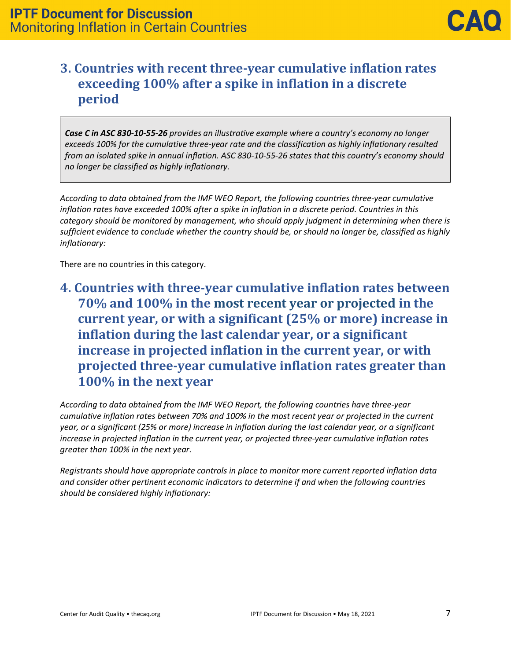## **3. Countries with recent three-year cumulative inflation rates exceeding 100% after a spike in inflation in a discrete period**

*Case C in ASC 830-10-55-26 provides an illustrative example where a country's economy no longer exceeds 100% for the cumulative three-year rate and the classification as highly inflationary resulted from an isolated spike in annual inflation. ASC 830-10-55-26 states that this country's economy should no longer be classified as highly inflationary.*

*According to data obtained from the IMF WEO Report, the following countries three-year cumulative inflation rates have exceeded 100% after a spike in inflation in a discrete period. Countries in this category should be monitored by management, who should apply judgment in determining when there is sufficient evidence to conclude whether the country should be, or should no longer be, classified as highly inflationary:*

There are no countries in this category.

## **4. Countries with three-year cumulative inflation rates between 70% and 100% in the most recent year or projected in the current year, or with a significant (25% or more) increase in inflation during the last calendar year, or a significant increase in projected inflation in the current year, or with projected three-year cumulative inflation rates greater than 100% in the next year**

*According to data obtained from the IMF WEO Report, the following countries have three-year cumulative inflation rates between 70% and 100% in the most recent year or projected in the current year, or a significant (25% or more) increase in inflation during the last calendar year, or a significant increase in projected inflation in the current year, or projected three-year cumulative inflation rates greater than 100% in the next year.* 

*Registrants should have appropriate controls in place to monitor more current reported inflation data and consider other pertinent economic indicators to determine if and when the following countries should be considered highly inflationary:*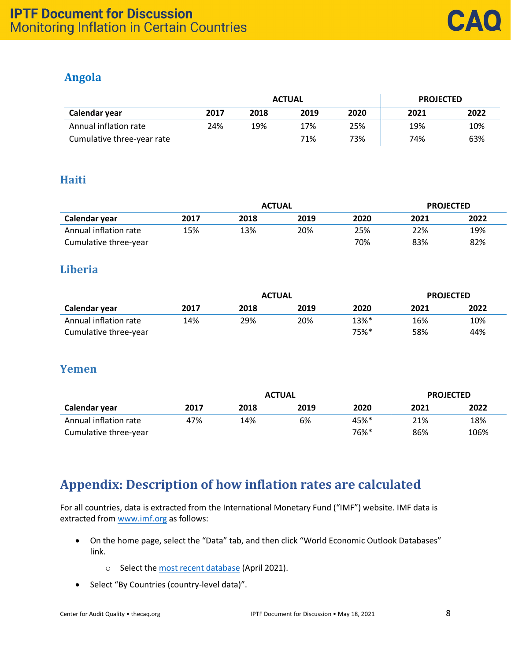## **Angola**

|                            | <b>ACTUAL</b> |      |      |      | <b>PROJECTED</b> |      |
|----------------------------|---------------|------|------|------|------------------|------|
| Calendar year              | 2017          | 2018 | 2019 | 2020 | 2021             | 2022 |
| Annual inflation rate      | 24%           | 19%  | 17%  | 25%  | 19%              | 10%  |
| Cumulative three-year rate |               |      | 71%  | 73%  | 74%              | 63%  |

### **Haiti**

|                       | <b>ACTUAL</b> |      |      | <b>PROJECTED</b> |      |      |
|-----------------------|---------------|------|------|------------------|------|------|
| Calendar year         | 2017          | 2018 | 2019 | 2020             | 2021 | 2022 |
| Annual inflation rate | 15%           | 13%  | 20%  | 25%              | 22%  | 19%  |
| Cumulative three-year |               |      |      | 70%              | 83%  | 82%  |

### **Liberia**

|                       | <b>ACTUAL</b> |      |      | <b>PROJECTED</b> |      |      |
|-----------------------|---------------|------|------|------------------|------|------|
| Calendar year         | 2017          | 2018 | 2019 | 2020             | 2021 | 2022 |
| Annual inflation rate | 14%           | 29%  | 20%  | 13%*             | 16%  | 10%  |
| Cumulative three-year |               |      |      | 75%*             | 58%  | 44%  |

### **Yemen**

|                       | <b>ACTUAL</b> |      |      |      | <b>PROJECTED</b> |      |
|-----------------------|---------------|------|------|------|------------------|------|
| Calendar year         | 2017          | 2018 | 2019 | 2020 | 2021             | 2022 |
| Annual inflation rate | 47%           | 14%  | 6%   | 45%* | 21%              | 18%  |
| Cumulative three-year |               |      |      | 76%* | 86%              | 106% |

# **Appendix: Description of how inflation rates are calculated**

For all countries, data is extracted from the International Monetary Fund ("IMF") website. IMF data is extracted from [www.imf.org](http://www.imf.org/) as follows:

- On the home page, select the "Data" tab, and then click "World Economic Outlook Databases" link.
	- o Select the [most recent database](https://www.imf.org/en/Publications/WEO/weo-database/2020/October) (April 2021).
- Select "By Countries (country-level data)".